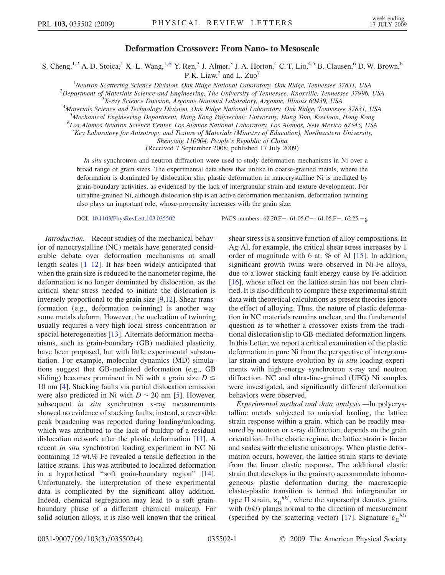## Deformation Crossover: From Nano- to Mesoscale

<span id="page-0-0"></span>S. Cheng,<sup>1,2</sup> A. D. Stoica,<sup>1</sup> X.-L. Wang,<sup>1[,\\*](#page-3-0)</sup> Y. Ren,<sup>3</sup> J. Almer,<sup>3</sup> J. A. Horton,<sup>4</sup> C. T. Liu,<sup>4,5</sup> B. Clausen,<sup>6</sup> D. W. Brown,<sup>6</sup> P. K. Liaw, $^2$  and L. Zuo<sup>7</sup>

<sup>1</sup>Neutron Scattering Science Division, Oak Ridge National Laboratory, Oak Ridge, Tennessee 37831, USA<br><sup>2</sup>Department of Materials Science and Engineering, The University of Tennessee, Knowille, Tennessee 37006

 $^{2}$ Department of Materials Science and Engineering, The University of Tennessee, Knoxville, Tennessee 37996, USA

 ${}^{3}X$ -ray Science Division, Argonne National Laboratory, Argonne, Illinois 60439, USA

<sup>4</sup>Materials Science and Technology Division, Oak Ridge National Laboratory, Oak Ridge, Tennessee 37831, USA

<sup>5</sup>Mechanical Engineering Department, Hong Kong Polytechnic University, Hung Tom, Kowloon, Hong Kong<br><sup>6</sup>Les Alames Nautron Science Center, Les Alames National Laboratory, Les Alames, Nay Mexico 87545, US.

Los Alamos Neutron Science Center, Los Alamos National Laboratory, Los Alamos, New Mexico 87545, USA

 $^{7}$ Key Laboratory for Anisotropy and Texture of Materials (Ministry of Education), Northeastern University,

Shenyang 110004, People's Republic of China

(Received 7 September 2008; published 17 July 2009)

In situ synchrotron and neutron diffraction were used to study deformation mechanisms in Ni over a broad range of grain sizes. The experimental data show that unlike in coarse-grained metals, where the deformation is dominated by dislocation slip, plastic deformation in nanocrystalline Ni is mediated by grain-boundary activities, as evidenced by the lack of intergranular strain and texture development. For ultrafine-grained Ni, although dislocation slip is an active deformation mechanism, deformation twinning also plays an important role, whose propensity increases with the grain size.

Introduction.—Recent studies of the mechanical behavior of nanocrystalline (NC) metals have generated considerable debate over deformation mechanisms at small length scales [[1](#page-3-1)[–12\]](#page-3-2). It has been widely anticipated that when the grain size is reduced to the nanometer regime, the deformation is no longer dominated by dislocation, as the critical shear stress needed to initiate the dislocation is inversely proportional to the grain size [[9,](#page-3-3)[12\]](#page-3-2). Shear transformation (e.g., deformation twinning) is another way some metals deform. However, the nucleation of twinning usually requires a very high local stress concentration or special heterogeneities [[13](#page-3-4)]. Alternate deformation mechanisms, such as grain-boundary (GB) mediated plasticity, have been proposed, but with little experimental substantiation. For example, molecular dynamics (MD) simulations suggest that GB-mediated deformation (e.g., GB sliding) becomes prominent in Ni with a grain size  $D \leq$ 10 nm [[4\]](#page-3-5). Stacking faults via partial dislocation emission were also predicted in Ni with  $D \sim 20$  nm [\[5](#page-3-6)]. However, subsequent *in situ* synchrotron x-ray measurements showed no evidence of stacking faults; instead, a reversible peak broadening was reported during loading/unloading, which was attributed to the lack of buildup of a residual dislocation network after the plastic deformation [\[11\]](#page-3-7). A recent in situ synchrotron loading experiment in NC Ni containing 15 wt.% Fe revealed a tensile deflection in the lattice strains. This was attributed to localized deformation in a hypothetical ''soft grain-boundary region'' [\[14\]](#page-3-8). Unfortunately, the interpretation of these experimental data is complicated by the significant alloy addition. Indeed, chemical segregation may lead to a soft grainboundary phase of a different chemical makeup. For solid-solution alloys, it is also well known that the critical

DOI: [10.1103/PhysRevLett.103.035502](http://dx.doi.org/10.1103/PhysRevLett.103.035502) PACS numbers: 62.20.F-, 61.05.C-, 61.05.F-, 62.25.-g

shear stress is a sensitive function of alloy compositions. In Ag-Al, for example, the critical shear stress increases by 1 order of magnitude with 6 at. % of Al [\[15](#page-3-9)]. In addition, significant growth twins were observed in Ni-Fe alloys, due to a lower stacking fault energy cause by Fe addition [\[16\]](#page-3-10), whose effect on the lattice strain has not been clarified. It is also difficult to compare these experimental strain data with theoretical calculations as present theories ignore the effect of alloying. Thus, the nature of plastic deformation in NC materials remains unclear, and the fundamental question as to whether a crossover exists from the traditional dislocation slip to GB-mediated deformation lingers. In this Letter, we report a critical examination of the plastic deformation in pure Ni from the perspective of intergranular strain and texture evolution by in situ loading experiments with high-energy synchrotron x-ray and neutron diffraction. NC and ultra-fine-grained (UFG) Ni samples were investigated, and significantly different deformation behaviors were observed.

Experimental method and data analysis.—In polycrystalline metals subjected to uniaxial loading, the lattice strain response within a grain, which can be readily measured by neutron or x-ray diffraction, depends on the grain orientation. In the elastic regime, the lattice strain is linear and scales with the elastic anisotropy. When plastic deformation occurs, however, the lattice strain starts to deviate from the linear elastic response. The additional elastic strain that develops in the grains to accommodate inhomogeneous plastic deformation during the macroscopic elasto-plastic transition is termed the intergranular or type II strain,  $\varepsilon_{\text{II}}^{hkl}$ , where the superscript denotes grains with (hkl) planes normal to the direction of measurement (specified by the scattering vector) [\[17\]](#page-3-11). Signature  $\varepsilon_{\text{II}}^{hkl}$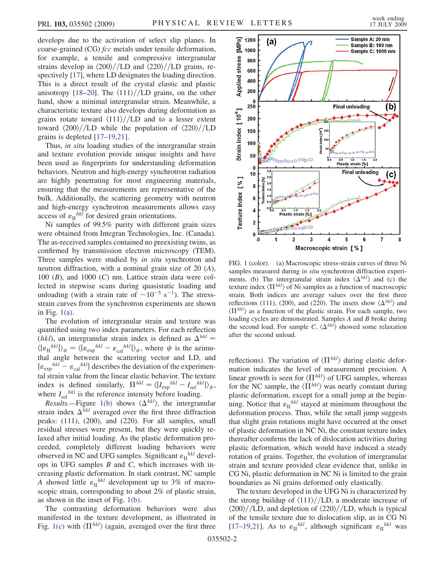develops due to the activation of select slip planes. In coarse-grained (CG) *fcc* metals under tensile deformation, for example, a tensile and compressive intergranular strains develop in  $\langle 200 \rangle$ //LD and  $\langle 220 \rangle$ //LD grains, respectively [[17](#page-3-11)], where LD designates the loading direction. This is a direct result of the crystal elastic and plastic anisotropy [[18](#page-3-12)[–20\]](#page-3-13). The  $\langle 111 \rangle$ /*LD* grains, on the other hand, show a minimal intergranular strain. Meanwhile, a characteristic texture also develops during deformation as grains rotate toward  $\langle 111 \rangle$ /*LD* and to a lesser extent toward  $\langle 200 \rangle$ //LD while the population of  $\langle 220 \rangle$ //LD grains is depleted [[17](#page-3-11)[–19](#page-3-14)[,21\]](#page-3-15).

Thus, in situ loading studies of the intergranular strain and texture evolution provide unique insights and have been used as fingerprints for understanding deformation behaviors. Neutron and high-energy synchrotron radiation are highly penetrating for most engineering materials, ensuring that the measurements are representative of the bulk. Additionally, the scattering geometry with neutron and high-energy synchrotron measurements allows easy access of  $\varepsilon_{\text{II}}^{hkl}$  for desired grain orientations.

Ni samples of 99.5% purity with different grain sizes were obtained from Integran Technologies, Inc. (Canada). The as-received samples contained no preexisting twins, as confirmed by transmission electron microscopy (TEM). Three samples were studied by in situ synchrotron and neutron diffraction, with a nominal grain size of 20 (A), 100  $(B)$ , and 1000  $(C)$  nm. Lattice strain data were collected in stepwise scans during quasistatic loading and unloading (with a strain rate of  $\sim 10^{-5}$  s<sup>-1</sup>). The stressstrain curves from the synchrotron experiments are shown in Fig.  $1(a)$ .

The evolution of intergranular strain and texture was quantified using two index parameters. For each reflection (hkl), an intergranular strain index is defined as  $\Delta^{hkl}$  =  $\langle |\varepsilon_{\text{II}}^{hkl}| \rangle_{\psi} = \langle |\varepsilon_{\text{exp}}^{hkl} - \varepsilon_{\text{cal}}^{hkl}| \rangle_{\psi}$ , where  $\psi$  is the azimuthal angle between the scattering vector and LD, and  $|\varepsilon_{\text{exp}}^{hkl} - \varepsilon_{\text{cal}}^{hkl}|$  describes the deviation of the experimental strain value from the linear elastic behavior. The texture index is defined similarly,  $\Pi^{hkl} = \langle |I_{\text{exp}}^{hkl} - I_{\text{ref}}^{hkl}| \rangle_{\psi}$ , where  $I_{ref}^{hkl}$  is the reference intensity before loading.

*Results.*—Figure [1\(b\)](#page-1-0) shows  $\langle \Delta^{hkl} \rangle$ , the intergranular strain index  $\Delta^{hkl}$  averaged over the first three diffraction peaks: (111), (200), and (220). For all samples, small residual stresses were present, but they were quickly relaxed after initial loading. As the plastic deformation proceeded, completely different loading behaviors were observed in NC and UFG samples. Significant  $\varepsilon_{II}^{hkl}$  develops in UFG samples  $B$  and  $C$ , which increases with increasing plastic deformation. In stark contrast, NC sample A showed little  $\varepsilon_{\text{II}}^{hkl}$  development up to 3% of macroscopic strain, corresponding to about 2% of plastic strain, as shown in the inset of Fig. [1\(b\)](#page-1-0).

The contrasting deformation behaviors were also manifested in the texture development, as illustrated in Fig. [1\(c\)](#page-1-0) with  $\langle \Pi^{hkl} \rangle$  (again, averaged over the first three



<span id="page-1-0"></span>FIG. 1 (color). (a) Macroscopic stress-strain curves of three Ni samples measured during in situ synchrotron diffraction experiments. (b) The intergranular strain index  $\langle \Delta^{hkl} \rangle$  and (c) the texture index  $\langle \Pi^{hkl} \rangle$  of Ni samples as a function of macroscopic strain. Both indices are average values over the first three reflections (111), (200), and (220). The insets show  $\langle \Delta^{hkl} \rangle$  and  $\langle \Pi^{hkl} \rangle$  as a function of the plastic strain. For each sample, two loading cycles are demonstrated. Samples A and B broke during the second load. For sample C,  $\langle \Delta^{hkl} \rangle$  showed some relaxation after the second unload.

reflections). The variation of  $\langle \Pi^{hkl} \rangle$  during elastic deformation indicates the level of measurement precision. A linear growth is seen for  $\langle \Pi^{hkl} \rangle$  of UFG samples, whereas for the NC sample, the  $\langle \Pi^{hkl} \rangle$  was nearly constant during plastic deformation, except for a small jump at the beginning. Notice that  $\varepsilon_{II}^{hkl}$  stayed at minimum throughout the deformation process. Thus, while the small jump suggests that slight grain rotations might have occurred at the onset of plastic deformation in NC Ni, the constant texture index thereafter confirms the lack of dislocation activities during plastic deformation, which would have induced a steady rotation of grains. Together, the evolution of intergranular strain and texture provided clear evidence that, unlike in CG Ni, plastic deformation in NC Ni is limited to the grain boundaries as Ni grains deformed only elastically.

The texture developed in the UFG Ni is characterized by the strong buildup of  $\langle 111 \rangle$ /LD, a moderate increase of  $\langle 200 \rangle$ //LD, and depletion of  $\langle 220 \rangle$ //LD, which is typical of the tensile texture due to dislocation slip, as in CG Ni [\[17–](#page-3-11)[19,](#page-3-14)[21\]](#page-3-15). As to  $\varepsilon_{\text{II}}^{hkl}$ , although significant  $\varepsilon_{\text{II}}^{hkl}$  was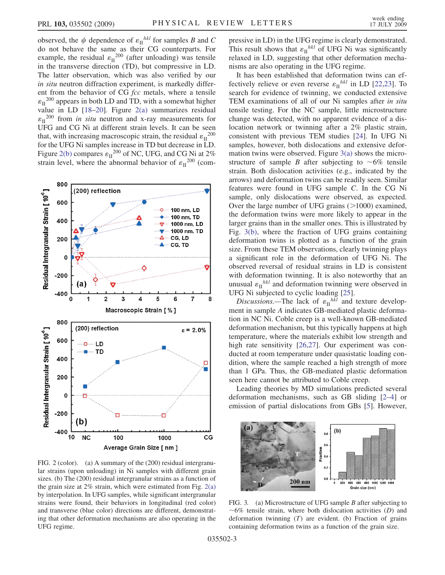observed, the  $\psi$  dependence of  $\varepsilon_{\text{II}}^{hkl}$  for samples B and C do not behave the same as their CG counterparts. For example, the residual  $\varepsilon_{II}^{200}$  (after unloading) was tensile in the transverse direction (TD), but compressive in LD. The latter observation, which was also verified by our in situ neutron diffraction experiment, is markedly different from the behavior of CG fcc metals, where a tensile  $\varepsilon_{II}^{200}$  appears in both LD and TD, with a somewhat higher value in LD [\[18](#page-3-12)–[20](#page-3-13)]. Figure [2\(a\)](#page-2-0) summarizes residual  $\varepsilon_{\text{II}}^{200}$  from *in situ* neutron and x-ray measurements for UFG and CG Ni at different strain levels. It can be seen that, with increasing macroscopic strain, the residual  $\varepsilon_{II}^{200}$ for the UFG Ni samples increase in TD but decrease in LD. Figure [2\(b\)](#page-2-0) compares  $\varepsilon_{II}^{200}$  of NC, UFG, and CG Ni at 2% strain level, where the abnormal behavior of  $\varepsilon_{II}^{200}$  (com-



<span id="page-2-0"></span>FIG. 2 (color). (a) A summary of the (200) residual intergranular strains (upon unloading) in Ni samples with different grain sizes. (b) The (200) residual intergranular strains as a function of the grain size at  $2\%$  strain, which were estimated from Fig.  $2(a)$ by interpolation. In UFG samples, while significant intergranular strains were found, their behaviors in longitudinal (red color) and transverse (blue color) directions are different, demonstrating that other deformation mechanisms are also operating in the UFG regime.

pressive in LD) in the UFG regime is clearly demonstrated. This result shows that  $\varepsilon_{II}^{hkl}$  of UFG Ni was significantly relaxed in LD, suggesting that other deformation mechanisms are also operating in the UFG regime.

It has been established that deformation twins can effectively relieve or even reverse  $\varepsilon_{\text{II}}^{hkl}$  in LD [[22](#page-3-16),[23](#page-3-17)]. To search for evidence of twinning, we conducted extensive TEM examinations of all of our Ni samples after in situ tensile testing. For the NC sample, little microstructure change was detected, with no apparent evidence of a dislocation network or twinning after a 2% plastic strain, consistent with previous TEM studies [\[24\]](#page-3-18). In UFG Ni samples, however, both dislocations and extensive deformation twins were observed. Figure [3\(a\)](#page-2-1) shows the microstructure of sample B after subjecting to  $\sim 6\%$  tensile strain. Both dislocation activities (e.g., indicated by the arrows) and deformation twins can be readily seen. Similar features were found in UFG sample C. In the CG Ni sample, only dislocations were observed, as expected. Over the large number of UFG grains ( $>1000$ ) examined, the deformation twins were more likely to appear in the larger grains than in the smaller ones. This is illustrated by Fig. [3\(b\),](#page-2-1) where the fraction of UFG grains containing deformation twins is plotted as a function of the grain size. From these TEM observations, clearly twinning plays a significant role in the deformation of UFG Ni. The observed reversal of residual strains in LD is consistent with deformation twinning. It is also noteworthy that an unusual  $\varepsilon_{\text{II}}^{hkl}$  and deformation twinning were observed in UFG Ni subjected to cyclic loading [\[25\]](#page-3-19).

Discussions.—The lack of  $\varepsilon_{\text{II}}^{hkl}$  and texture development in sample A indicates GB-mediated plastic deformation in NC Ni. Coble creep is a well-known GB-mediated deformation mechanism, but this typically happens at high temperature, where the materials exhibit low strength and high rate sensitivity [\[26](#page-3-20)[,27\]](#page-3-21). Our experiment was conducted at room temperature under quasistatic loading condition, where the sample reached a high strength of more than 1 GPa. Thus, the GB-mediated plastic deformation seen here cannot be attributed to Coble creep.

Leading theories by MD simulations predicted several deformation mechanisms, such as GB sliding [[2](#page-3-22)[–4\]](#page-3-5) or emission of partial dislocations from GBs [[5\]](#page-3-6). However,

<span id="page-2-2"></span>

<span id="page-2-1"></span>FIG. 3. (a) Microstructure of UFG sample B after subjecting to  $\sim 6\%$  tensile strain, where both dislocation activities (D) and deformation twinning  $(T)$  are evident. (b) Fraction of grains containing deformation twins as a function of the grain size.